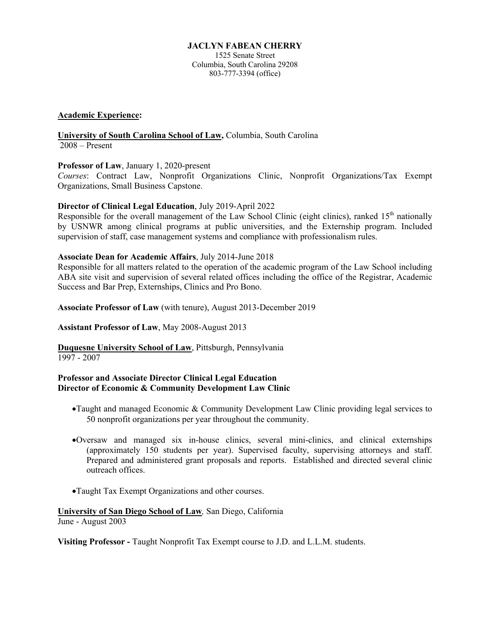## **JACLYN FABEAN CHERRY**

1525 Senate Street Columbia, South Carolina 29208 803-777-3394 (office)

## **Academic Experience:**

#### **University of South Carolina School of Law,** Columbia, South Carolina 2008 – Present

# **Professor of Law**, January 1, 2020-present

*Courses*: Contract Law, Nonprofit Organizations Clinic, Nonprofit Organizations/Tax Exempt Organizations, Small Business Capstone.

## **Director of Clinical Legal Education**, July 2019-April 2022

Responsible for the overall management of the Law School Clinic (eight clinics), ranked  $15<sup>th</sup>$  nationally by USNWR among clinical programs at public universities, and the Externship program. Included supervision of staff, case management systems and compliance with professionalism rules.

## **Associate Dean for Academic Affairs**, July 2014-June 2018

Responsible for all matters related to the operation of the academic program of the Law School including ABA site visit and supervision of several related offices including the office of the Registrar, Academic Success and Bar Prep, Externships, Clinics and Pro Bono.

**Associate Professor of Law** (with tenure), August 2013-December 2019

#### **Assistant Professor of Law**, May 2008-August 2013

**Duquesne University School of Law**, Pittsburgh, Pennsylvania 1997 - 2007

## **Professor and Associate Director Clinical Legal Education Director of Economic & Community Development Law Clinic**

- •Taught and managed Economic & Community Development Law Clinic providing legal services to 50 nonprofit organizations per year throughout the community.
- •Oversaw and managed six in-house clinics, several mini-clinics, and clinical externships (approximately 150 students per year). Supervised faculty, supervising attorneys and staff. Prepared and administered grant proposals and reports. Established and directed several clinic outreach offices.
- •Taught Tax Exempt Organizations and other courses.

# **University of San Diego School of Law***,* San Diego, California

June - August 2003

**Visiting Professor -** Taught Nonprofit Tax Exempt course to J.D. and L.L.M. students.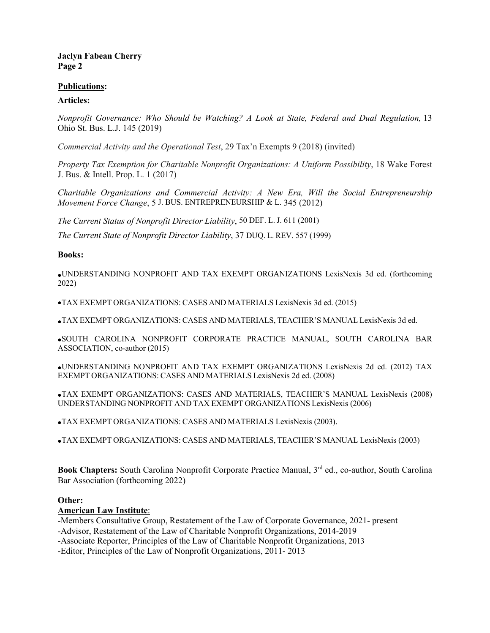## **Publications:**

## **Articles:**

*Nonprofit Governance: Who Should be Watching? A Look at State, Federal and Dual Regulation,* 13 Ohio St. Bus. L.J. 145 (2019)

*Commercial Activity and the Operational Test*, 29 Tax'n Exempts 9 (2018) (invited)

*Property Tax Exemption for Charitable Nonprofit Organizations: A Uniform Possibility*, 18 Wake Forest J. Bus. & Intell. Prop. L. 1 (2017)

*Charitable Organizations and Commercial Activity: A New Era, Will the Social Entrepreneurship Movement Force Change*, 5 J. BUS. ENTREPRENEURSHIP & L. 345 (2012)

*The Current Status of Nonprofit Director Liability*, 50 DEF. L. J. 611 (2001)

*The Current State of Nonprofit Director Liability*, 37 DUQ. L. REV. 557 (1999)

**Books:**

•UNDERSTANDING NONPROFIT AND TAX EXEMPT ORGANIZATIONS LexisNexis 3d ed. (forthcoming 2022)

•TAX EXEMPT ORGANIZATIONS: CASES AND MATERIALS LexisNexis 3d ed. (2015)

•TAX EXEMPT ORGANIZATIONS: CASES AND MATERIALS, TEACHER'S MANUAL LexisNexis 3d ed.

•SOUTH CAROLINA NONPROFIT CORPORATE PRACTICE MANUAL, SOUTH CAROLINA BAR ASSOCIATION, co-author (2015)

•UNDERSTANDING NONPROFIT AND TAX EXEMPT ORGANIZATIONS LexisNexis 2d ed. (2012) TAX EXEMPT ORGANIZATIONS: CASES AND MATERIALS LexisNexis 2d ed. (2008)

•TAX EXEMPT ORGANIZATIONS: CASES AND MATERIALS, TEACHER'S MANUAL LexisNexis (2008) UNDERSTANDING NONPROFIT AND TAX EXEMPT ORGANIZATIONS LexisNexis (2006)

•TAX EXEMPT ORGANIZATIONS: CASES AND MATERIALS LexisNexis (2003).

•TAX EXEMPT ORGANIZATIONS: CASES AND MATERIALS, TEACHER'S MANUAL LexisNexis (2003)

**Book Chapters:** South Carolina Nonprofit Corporate Practice Manual, 3<sup>rd</sup> ed., co-author, South Carolina Bar Association (forthcoming 2022)

#### **Other:**

#### **American Law Institute**:

-Members Consultative Group, Restatement of the Law of Corporate Governance, 2021- present

-Advisor, Restatement of the Law of Charitable Nonprofit Organizations, 2014-2019

-Associate Reporter, Principles of the Law of Charitable Nonprofit Organizations, 2013

-Editor, Principles of the Law of Nonprofit Organizations, 2011- 2013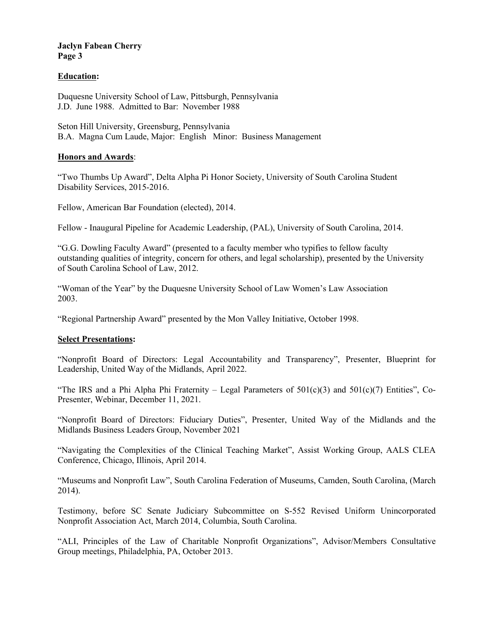# **Education:**

Duquesne University School of Law, Pittsburgh, Pennsylvania J.D. June 1988. Admitted to Bar: November 1988

Seton Hill University, Greensburg, Pennsylvania B.A. Magna Cum Laude, Major: English Minor: Business Management

## **Honors and Awards**:

"Two Thumbs Up Award", Delta Alpha Pi Honor Society, University of South Carolina Student Disability Services, 2015-2016.

Fellow, American Bar Foundation (elected), 2014.

Fellow - Inaugural Pipeline for Academic Leadership, (PAL), University of South Carolina, 2014.

"G.G. Dowling Faculty Award" (presented to a faculty member who typifies to fellow faculty outstanding qualities of integrity, concern for others, and legal scholarship), presented by the University of South Carolina School of Law, 2012.

"Woman of the Year" by the Duquesne University School of Law Women's Law Association 2003.

"Regional Partnership Award" presented by the Mon Valley Initiative, October 1998.

# **Select Presentations:**

"Nonprofit Board of Directors: Legal Accountability and Transparency", Presenter, Blueprint for Leadership, United Way of the Midlands, April 2022.

"The IRS and a Phi Alpha Phi Fraternity – Legal Parameters of  $501(c)(3)$  and  $501(c)(7)$  Entities", Co-Presenter, Webinar, December 11, 2021.

"Nonprofit Board of Directors: Fiduciary Duties", Presenter, United Way of the Midlands and the Midlands Business Leaders Group, November 2021

"Navigating the Complexities of the Clinical Teaching Market", Assist Working Group, AALS CLEA Conference, Chicago, Illinois, April 2014.

"Museums and Nonprofit Law", South Carolina Federation of Museums, Camden, South Carolina, (March 2014).

Testimony, before SC Senate Judiciary Subcommittee on S-552 Revised Uniform Unincorporated Nonprofit Association Act, March 2014, Columbia, South Carolina.

"ALI, Principles of the Law of Charitable Nonprofit Organizations", Advisor/Members Consultative Group meetings, Philadelphia, PA, October 2013.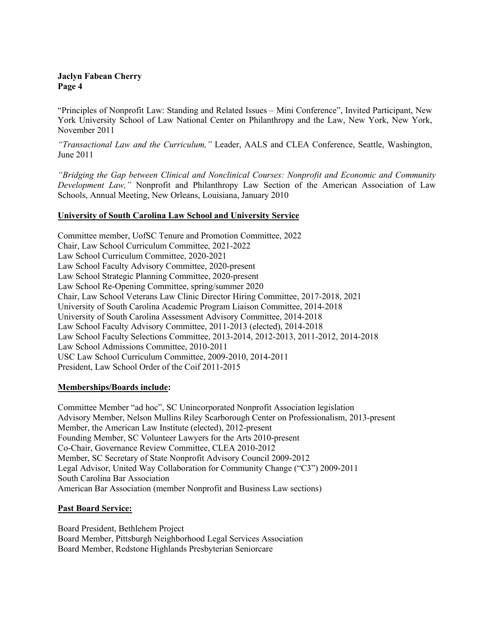"Principles of Nonprofit Law: Standing and Related Issues – Mini Conference", Invited Participant, New York University School of Law National Center on Philanthropy and the Law, New York, New York, November 2011

*"Transactional Law and the Curriculum,"* Leader, AALS and CLEA Conference, Seattle, Washington, June 2011

*"Bridging the Gap between Clinical and Nonclinical Courses: Nonprofit and Economic and Community Development Law,"* Nonprofit and Philanthropy Law Section of the American Association of Law Schools, Annual Meeting, New Orleans, Louisiana, January 2010

# **University of South Carolina Law School and University Service**

Committee member, UofSC Tenure and Promotion Committee, 2022 Chair, Law School Curriculum Committee, 2021-2022 Law School Curriculum Committee, 2020-2021 Law School Faculty Advisory Committee, 2020-present Law School Strategic Planning Committee, 2020-present Law School Re-Opening Committee, spring/summer 2020 Chair, Law School Veterans Law Clinic Director Hiring Committee, 2017-2018, 2021 University of South Carolina Academic Program Liaison Committee, 2014-2018 University of South Carolina Assessment Advisory Committee, 2014-2018 Law School Faculty Advisory Committee, 2011-2013 (elected), 2014-2018 Law School Faculty Selections Committee, 2013-2014, 2012-2013, 2011-2012, 2014-2018 Law School Admissions Committee, 2010-2011 USC Law School Curriculum Committee, 2009-2010, 2014-2011 President, Law School Order of the Coif 2011-2015

# **Memberships/Boards include:**

Committee Member "ad hoc", SC Unincorporated Nonprofit Association legislation Advisory Member, Nelson Mullins Riley Scarborough Center on Professionalism, 2013-present Member, the American Law Institute (elected), 2012-present Founding Member, SC Volunteer Lawyers for the Arts 2010-present Co-Chair, Governance Review Committee, CLEA 2010-2012 Member, SC Secretary of State Nonprofit Advisory Council 2009-2012 Legal Advisor, United Way Collaboration for Community Change ("C3") 2009-2011 South Carolina Bar Association American Bar Association (member Nonprofit and Business Law sections)

# **Past Board Service:**

Board President, Bethlehem Project Board Member, Pittsburgh Neighborhood Legal Services Association Board Member, Redstone Highlands Presbyterian Seniorcare